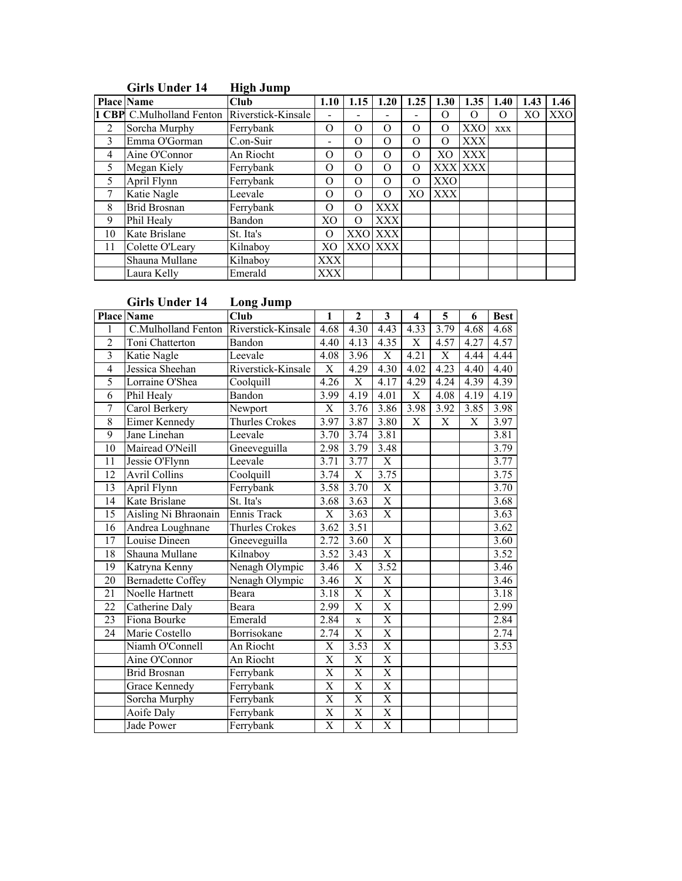|    | <b>Place Name</b>                | Club               | 1.10     | 1.15       | 1.20       | 1.25           | 1.30       | 1.35       | 1.40       | 1.43           | 1.46 |
|----|----------------------------------|--------------------|----------|------------|------------|----------------|------------|------------|------------|----------------|------|
|    | <b>1 CBP</b> C.Mulholland Fenton | Riverstick-Kinsale |          |            |            |                | O          | 0          | 0          | X <sub>O</sub> | XXO  |
| 2  | Sorcha Murphy                    | Ferrybank          | $\Omega$ | $\Omega$   | $\Omega$   | $\Omega$       | O          | <b>XXO</b> | <b>XXX</b> |                |      |
| 3  | Emma O'Gorman                    | C.on-Suir          | -        | $\theta$   | O          | $\Omega$       | O          | <b>XXX</b> |            |                |      |
| 4  | Aine O'Connor                    | An Riocht          | O        | O          | $\Omega$   | $\Omega$       | XO         | <b>XXX</b> |            |                |      |
| 5  | Megan Kiely                      | Ferrybank          | O        | $\Omega$   | $\Omega$   | $\Omega$       |            | XXX XXX    |            |                |      |
| 5  | April Flynn                      | Ferrybank          | $\Omega$ | $\lambda$  | $\Omega$   | $\Omega$       | XXO        |            |            |                |      |
|    | Katie Nagle                      | Leevale            | $\Omega$ | $\Omega$   | $\Omega$   | X <sub>O</sub> | <b>XXX</b> |            |            |                |      |
| 8  | <b>Brid Brosnan</b>              | Ferrybank          | O        | $\Omega$   | <b>XXX</b> |                |            |            |            |                |      |
| 9  | Phil Healy                       | Bandon             | XO       | $\Omega$   | <b>XXX</b> |                |            |            |            |                |      |
| 10 | Kate Brislane                    | St. Ita's          | $\Omega$ | XXO        | <b>XXX</b> |                |            |            |            |                |      |
| 11 | Colette O'Leary                  | Kilnaboy           | XО       | <b>XXO</b> | <b>XXX</b> |                |            |            |            |                |      |
|    | Shauna Mullane                   | Kilnaboy           | XXX      |            |            |                |            |            |            |                |      |
|    | Laura Kelly                      | Emerald            | XXX      |            |            |                |            |            |            |                |      |

## Girls Under 14 High Jump

# Girls Under 14 Long Jump

|                          | <b>Place Name</b>        | Club                  | 1                       | $\overline{2}$          | 3                       | $\overline{\mathbf{4}}$ | 5                       | 6              | <b>Best</b>       |
|--------------------------|--------------------------|-----------------------|-------------------------|-------------------------|-------------------------|-------------------------|-------------------------|----------------|-------------------|
|                          | C.Mulholland Fenton      | Riverstick-Kinsale    | 4.68                    | 4.30                    | 4.43                    | 4.33                    | 3.79                    | 4.68           | 4.68              |
| $\overline{2}$           | Toni Chatterton          | Bandon                | 4.40                    | 4.13                    | 4.35                    | $\overline{X}$          | 4.57                    | 4.27           | 4.57              |
| $\overline{3}$           | Katie Nagle              | Leevale               | 4.08                    | 3.96                    | $\overline{X}$          | 4.21                    | $\overline{X}$          | 4.44           | 4.44              |
| $\overline{\mathcal{A}}$ | Jessica Sheehan          | Riverstick-Kinsale    | $\overline{\text{X}}$   | 4.29                    | 4.30                    | 4.02                    | 4.23                    | 4.40           | 4.40              |
| 5                        | Lorraine O'Shea          | Coolquill             | 4.26                    | $\overline{X}$          | 4.17                    | 4.29                    | 4.24                    | 4.39           | 4.39              |
| $\overline{6}$           | Phil Healy               | Bandon                | 3.99                    | 4.19                    | 4.01                    | $\overline{X}$          | 4.08                    | 4.19           | 4.19              |
| $\overline{7}$           | Carol Berkery            | Newport               | $\overline{\mathrm{X}}$ | 3.76                    | 3.86                    | 3.98                    | 3.92                    | 3.85           | 3.98              |
| 8                        | <b>Eimer Kennedy</b>     | <b>Thurles Crokes</b> | 3.97                    | 3.87                    | 3.80                    | $\overline{X}$          | $\overline{\mathrm{X}}$ | $\overline{X}$ | 3.97              |
| 9                        | Jane Linehan             | Leevale               | 3.70                    | 3.74                    | 3.81                    |                         |                         |                | 3.81              |
| 10                       | Mairead O'Neill          | Gneeveguilla          | 2.98                    | 3.79                    | 3.48                    |                         |                         |                | 3.79              |
| $\overline{11}$          | Jessie O'Flynn           | Leevale               | 3.71                    | 3.77                    | $\overline{X}$          |                         |                         |                | 3.77              |
| 12                       | <b>Avril Collins</b>     | Coolquill             | 3.74                    | $\overline{\mathrm{X}}$ | 3.75                    |                         |                         |                | 3.75              |
| 13                       | April Flynn              | Ferrybank             | 3.58                    | 3.70                    | $\overline{X}$          |                         |                         |                | 3.70              |
| 14                       | Kate Brislane            | St. Ita's             | 3.68                    | 3.63                    | $\overline{X}$          |                         |                         |                | 3.68              |
| 15                       | Aisling Ni Bhraonain     | Ennis Track           | X                       | 3.63                    | $\overline{X}$          |                         |                         |                | $\overline{3.63}$ |
| 16                       | Andrea Loughnane         | <b>Thurles Crokes</b> | 3.62                    | 3.51                    |                         |                         |                         |                | 3.62              |
| 17                       | Louise Dineen            | Gneeveguilla          | 2.72                    | 3.60                    | $\overline{X}$          |                         |                         |                | 3.60              |
| 18                       | Shauna Mullane           | Kilnaboy              | 3.52                    | 3.43                    | $\overline{X}$          |                         |                         |                | 3.52              |
| 19                       | Katryna Kenny            | Nenagh Olympic        | $\overline{3.46}$       | $\overline{\text{X}}$   | 3.52                    |                         |                         |                | 3.46              |
| $\overline{20}$          | <b>Bernadette Coffey</b> | Nenagh Olympic        | 3.46                    | $\overline{\text{X}}$   | $\overline{\mathrm{X}}$ |                         |                         |                | 3.46              |
| 21                       | Noelle Hartnett          | Beara                 | 3.18                    | $\overline{\text{X}}$   | $\overline{\mathrm{X}}$ |                         |                         |                | 3.18              |
| $\overline{22}$          | Catherine Daly           | Beara                 | 2.99                    | $\overline{X}$          | $\overline{X}$          |                         |                         |                | 2.99              |
| 23                       | Fiona Bourke             | Emerald               | 2.84                    | $\overline{\mathbf{x}}$ | $\overline{X}$          |                         |                         |                | 2.84              |
| 24                       | Marie Costello           | Borrisokane           | 2.74                    | $\overline{\mathrm{X}}$ | $\overline{\mathrm{X}}$ |                         |                         |                | 2.74              |
|                          | Niamh O'Connell          | An Riocht             | $\overline{\text{X}}$   | 3.53                    | $\overline{X}$          |                         |                         |                | 3.53              |
|                          | Aine O'Connor            | An Riocht             | $\overline{\mathrm{X}}$ | $\overline{\text{X}}$   | $\overline{X}$          |                         |                         |                |                   |
|                          | <b>Brid Brosnan</b>      | Ferrybank             | $\overline{\mathrm{X}}$ | $\overline{\text{X}}$   | $\overline{X}$          |                         |                         |                |                   |
|                          | <b>Grace Kennedy</b>     | Ferrybank             | $\overline{\mathrm{X}}$ | $\overline{X}$          | $\overline{X}$          |                         |                         |                |                   |
|                          | Sorcha Murphy            | Ferrybank             | $\overline{\mathrm{X}}$ | $\overline{X}$          | $\overline{X}$          |                         |                         |                |                   |
|                          | <b>Aoife Daly</b>        | Ferrybank             | $\overline{\text{X}}$   | $\overline{\text{X}}$   | $\overline{X}$          |                         |                         |                |                   |
|                          | Jade Power               | Ferrybank             | $\overline{\mathrm{X}}$ | $\overline{X}$          | $\overline{X}$          |                         |                         |                |                   |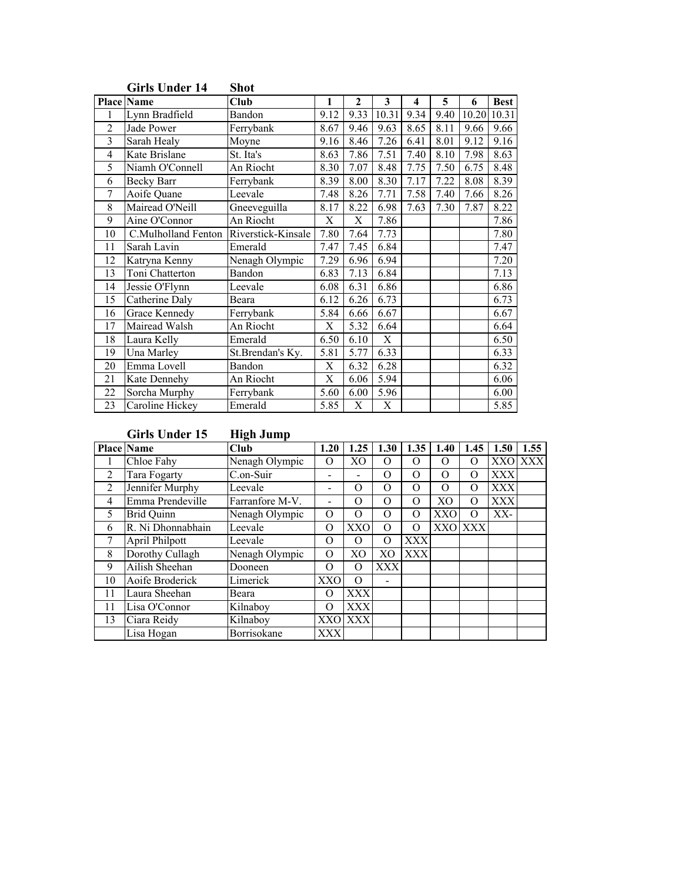|                | <b>Place Name</b>      | Club               | 1                         | 2                 | 3              | 4    | 5    | 6     | <b>Best</b> |
|----------------|------------------------|--------------------|---------------------------|-------------------|----------------|------|------|-------|-------------|
| 1              | Lynn Bradfield         | Bandon             | 9.12                      | 9.33              | 10.31          | 9.34 | 9.40 | 10.20 | 10.31       |
| $\overline{2}$ | Jade Power             | Ferrybank          | 8.67                      | 9.46              | 9.63           | 8.65 | 8.11 | 9.66  | 9.66        |
| 3              | Sarah Healy            | Moyne              | 9.16                      | 8.46              | 7.26           | 6.41 | 8.01 | 9.12  | 9.16        |
| 4              | Kate Brislane          | St. Ita's          | 8.63                      | 7.86              | 7.51           | 7.40 | 8.10 | 7.98  | 8.63        |
| 5              | Niamh O'Connell        | An Riocht          | 8.30                      | 7.07              | 8.48           | 7.75 | 7.50 | 6.75  | 8.48        |
| 6              | Becky Barr             | Ferrybank          | 8.39                      | 8.00              | 8.30           | 7.17 | 7.22 | 8.08  | 8.39        |
| 7              | Aoife Quane            | Leevale            | 7.48                      | 8.26              | 7.71           | 7.58 | 7.40 | 7.66  | 8.26        |
| 8              | Mairead O'Neill        | Gneeveguilla       | 8.17                      | 8.22              | 6.98           | 7.63 | 7.30 | 7.87  | 8.22        |
| 9              | Aine O'Connor          | An Riocht          | $\overline{X}$            | $\overline{X}$    | 7.86           |      |      |       | 7.86        |
| 10             | C.Mulholland Fenton    | Riverstick-Kinsale | 7.80                      | 7.64              | 7.73           |      |      |       | 7.80        |
| 11             | Sarah Lavin            | Emerald            | 7.47                      | 7.45              | 6.84           |      |      |       | 7.47        |
| 12             | Katryna Kenny          | Nenagh Olympic     | 7.29                      | 6.96              | 6.94           |      |      |       | 7.20        |
| 13             | Toni Chatterton        | Bandon             | 6.83                      | 7.13              | 6.84           |      |      |       | 7.13        |
| 14             | Jessie O'Flynn         | Leevale            | 6.08                      | 6.31              | 6.86           |      |      |       | 6.86        |
| 15             | Catherine Daly         | Beara              | 6.12                      | 6.26              | 6.73           |      |      |       | 6.73        |
| 16             | <b>Grace Kennedy</b>   | Ferrybank          | 5.84                      | 6.66              | 6.67           |      |      |       | 6.67        |
| 17             | Mairead Walsh          | An Riocht          | X                         | 5.32              | 6.64           |      |      |       | 6.64        |
| 18             | Laura Kelly            | Emerald            | 6.50                      | 6.10              | $\overline{X}$ |      |      |       | 6.50        |
| 19             | Una Marley             | St.Brendan's Ky.   | 5.81                      | $\overline{5.77}$ | 6.33           |      |      |       | 6.33        |
| 20             | Emma Lovell            | Bandon             | $\boldsymbol{\mathrm{X}}$ | 6.32              | 6.28           |      |      |       | 6.32        |
| 21             | Kate Dennehy           | An Riocht          | $\overline{\text{X}}$     | 6.06              | 5.94           |      |      |       | 6.06        |
| 22             | Sorcha Murphy          | Ferrybank          | 5.60                      | 6.00              | 5.96           |      |      |       | 6.00        |
| 23             | <b>Caroline Hickey</b> | Emerald            | 5.85                      | $\overline{X}$    | $\overline{X}$ |      |      |       | 5.85        |

## Girls Under 14 Shot

Girls Under 15 High Jump

|    | <b>Place Name</b>   | -<br>Club       | 1.20       | .25        | 1.30           | 1.35       | 1.40       | 1.45       | 1.50       | 1.55    |
|----|---------------------|-----------------|------------|------------|----------------|------------|------------|------------|------------|---------|
|    | Chloe Fahy          | Nenagh Olympic  | $\lambda$  | XО         | O              | O          | O          | O          |            | XXO XXX |
| 2  | <b>Tara Fogarty</b> | C.on-Suir       |            |            | $\Omega$       | O          | $\Omega$   | $\Omega$   | <b>XXX</b> |         |
| 2  | Jennifer Murphy     | Leevale         |            | O          | O              | O          | $\Omega$   | O          | <b>XXX</b> |         |
| 4  | Emma Prendeville    | Farranfore M-V. |            | O          | O              | O          | XO         | $\Omega$   | <b>XXX</b> |         |
| 5  | <b>Brid Quinn</b>   | Nenagh Olympic  | O          | O          | O              | O          | <b>XXO</b> | O          | XX-        |         |
| 6  | R. Ni Dhonnabhain   | Leevale         | $\Omega$   | XXO        | $\Omega$       | O          | <b>XXO</b> | <b>XXX</b> |            |         |
| 7  | April Philpott      | Leevale         | Ω          | O          | $\Omega$       | XXX        |            |            |            |         |
| 8  | Dorothy Cullagh     | Nenagh Olympic  | $\Omega$   | XO         | X <sub>O</sub> | <b>XXX</b> |            |            |            |         |
| 9  | Ailish Sheehan      | Dooneen         | $\lambda$  | O          | <b>XXX</b>     |            |            |            |            |         |
| 10 | Aoife Broderick     | Limerick        | XXO        | $\Omega$   |                |            |            |            |            |         |
| 11 | Laura Sheehan       | Beara           | $\Omega$   | XXX        |                |            |            |            |            |         |
| 11 | Lisa O'Connor       | Kilnaboy        | $\Omega$   | <b>XXX</b> |                |            |            |            |            |         |
| 13 | Ciara Reidy         | Kilnaboy        | <b>XXO</b> | <b>XXX</b> |                |            |            |            |            |         |
|    | Lisa Hogan          | Borrisokane     | <b>XXX</b> |            |                |            |            |            |            |         |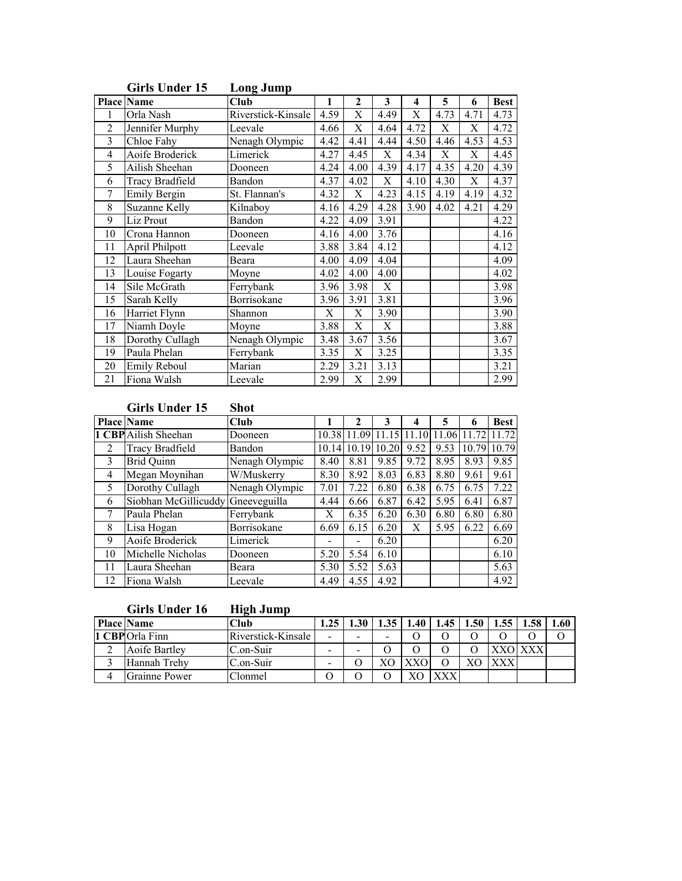|                | <b>Place Name</b>      | <b>Club</b>        | 1    | $\mathbf{2}$              | 3                         | 4    | 5    | 6    | <b>Best</b> |
|----------------|------------------------|--------------------|------|---------------------------|---------------------------|------|------|------|-------------|
| 1              | Orla Nash              | Riverstick-Kinsale | 4.59 | $\overline{\text{X}}$     | 4.49                      | X    | 4.73 | 4.71 | 4.73        |
| $\overline{2}$ | Jennifer Murphy        | Leevale            | 4.66 | X                         | 4.64                      | 4.72 | X    | X    | 4.72        |
| 3              | Chloe Fahy             | Nenagh Olympic     | 4.42 | 4.41                      | 4.44                      | 4.50 | 4.46 | 4.53 | 4.53        |
| $\overline{4}$ | Aoife Broderick        | Limerick           | 4.27 | 4.45                      | $\boldsymbol{\mathrm{X}}$ | 4.34 | X    | X    | 4.45        |
| 5              | Ailish Sheehan         | Dooneen            | 4.24 | 4.00                      | 4.39                      | 4.17 | 4.35 | 4.20 | 4.39        |
| 6              | <b>Tracy Bradfield</b> | Bandon             | 4.37 | 4.02                      | X                         | 4.10 | 4.30 | X    | 4.37        |
| 7              | Emily Bergin           | St. Flannan's      | 4.32 | $\overline{X}$            | 4.23                      | 4.15 | 4.19 | 4.19 | 4.32        |
| 8              | Suzanne Kelly          | Kilnaboy           | 4.16 | 4.29                      | 4.28                      | 3.90 | 4.02 | 4.21 | 4.29        |
| 9              | Liz Prout              | Bandon             | 4.22 | 4.09                      | 3.91                      |      |      |      | 4.22        |
| 10             | Crona Hannon           | Dooneen            | 4.16 | 4.00                      | 3.76                      |      |      |      | 4.16        |
| 11             | April Philpott         | Leevale            | 3.88 | 3.84                      | 4.12                      |      |      |      | 4.12        |
| 12             | Laura Sheehan          | Beara              | 4.00 | 4.09                      | 4.04                      |      |      |      | 4.09        |
| 13             | Louise Fogarty         | Moyne              | 4.02 | 4.00                      | 4.00                      |      |      |      | 4.02        |
| 14             | Sile McGrath           | Ferrybank          | 3.96 | 3.98                      | $\boldsymbol{\mathrm{X}}$ |      |      |      | 3.98        |
| 15             | Sarah Kelly            | Borrisokane        | 3.96 | 3.91                      | 3.81                      |      |      |      | 3.96        |
| 16             | <b>Harriet Flynn</b>   | Shannon            | X    | X                         | 3.90                      |      |      |      | 3.90        |
| 17             | Niamh Doyle            | Moyne              | 3.88 | $\boldsymbol{\mathrm{X}}$ | $\boldsymbol{\mathrm{X}}$ |      |      |      | 3.88        |
| 18             | Dorothy Cullagh        | Nenagh Olympic     | 3.48 | 3.67                      | 3.56                      |      |      |      | 3.67        |
| 19             | Paula Phelan           | Ferrybank          | 3.35 | X                         | 3.25                      |      |      |      | 3.35        |
| 20             | Emily Reboul           | Marian             | 2.29 | 3.21                      | 3.13                      |      |      |      | 3.21        |
| 21             | Fiona Walsh            | Leevale            | 2.99 | $\mathbf X$               | 2.99                      |      |      |      | 2.99        |

## Girls Under 15 Long Jump

# Girls Under 15 Shot

|               | <b>Place Name</b>                 | Cl <sub>u</sub> |      | 2             |       |       |       | 6     | <b>Best</b> |
|---------------|-----------------------------------|-----------------|------|---------------|-------|-------|-------|-------|-------------|
|               | 1 CBP Ailish Sheehan              | Dooneen         |      | 10.38 11.09   | 11.15 | 11.10 | 11.06 | 11.72 | 11.72       |
| 2             | <b>Tracy Bradfield</b>            | Bandon          |      | $10.14$ 10.19 | 10.20 | 9.52  | 9.53  | 10.79 | 10.79       |
| $\mathcal{E}$ | <b>Brid Quinn</b>                 | Nenagh Olympic  | 8.40 | 8.81          | 9.85  | 9.72  | 8.95  | 8.93  | 9.85        |
| 4             | Megan Moynihan                    | W/Muskerry      | 8.30 | 8.92          | 8.03  | 6.83  | 8.80  | 9.61  | 9.61        |
| 5             | Dorothy Cullagh                   | Nenagh Olympic  | 7.01 | 7.22          | 6.80  | 6.38  | 6.75  | 6.75  | 7.22        |
| 6             | Siobhan McGillicuddy Gneeveguilla |                 | 4.44 | 6.66          | 6.87  | 6.42  | 5.95  | 6.41  | 6.87        |
|               | Paula Phelan                      | Ferrybank       | Х    | 6.35          | 6.20  | 6.30  | 6.80  | 6.80  | 6.80        |
| 8             | Lisa Hogan                        | Borrisokane     | 6.69 | 6.15          | 6.20  | Х     | 5.95  | 6.22  | 6.69        |
| 9             | Aoife Broderick                   | Limerick        | -    |               | 6.20  |       |       |       | 6.20        |
| 10            | Michelle Nicholas                 | Dooneen         | 5.20 | 5.54          | 6.10  |       |       |       | 6.10        |
| 11            | Laura Sheehan                     | Beara           | 5.30 | 5.52          | 5.63  |       |       |       | 5.63        |
| 12            | Fiona Walsh                       | Leevale         | 4.49 | 4.55          | 4.92  |       |       |       | 4.92        |

|  | <b>Girls Under 16</b> | Hig |  |
|--|-----------------------|-----|--|
|--|-----------------------|-----|--|

# h Jump

| <b>Place Name</b> | Club               | 1.25                     | 1.30 | . 35 | 1.40 | $1.45 \perp$ | 1.50 | 1.58 | 1.60 |
|-------------------|--------------------|--------------------------|------|------|------|--------------|------|------|------|
| 1 CBP Orla Finn   | Riverstick-Kinsale | $\overline{\phantom{0}}$ |      | -    |      |              |      |      |      |
| Aoife Bartley     | C.on-Suir          | $\overline{\phantom{0}}$ |      |      |      |              |      |      |      |
| Hannah Trehy      | C.on-Suir          | $\overline{\phantom{0}}$ |      |      |      |              |      |      |      |
| Grainne Power     | Clonmel            |                          |      |      |      |              |      |      |      |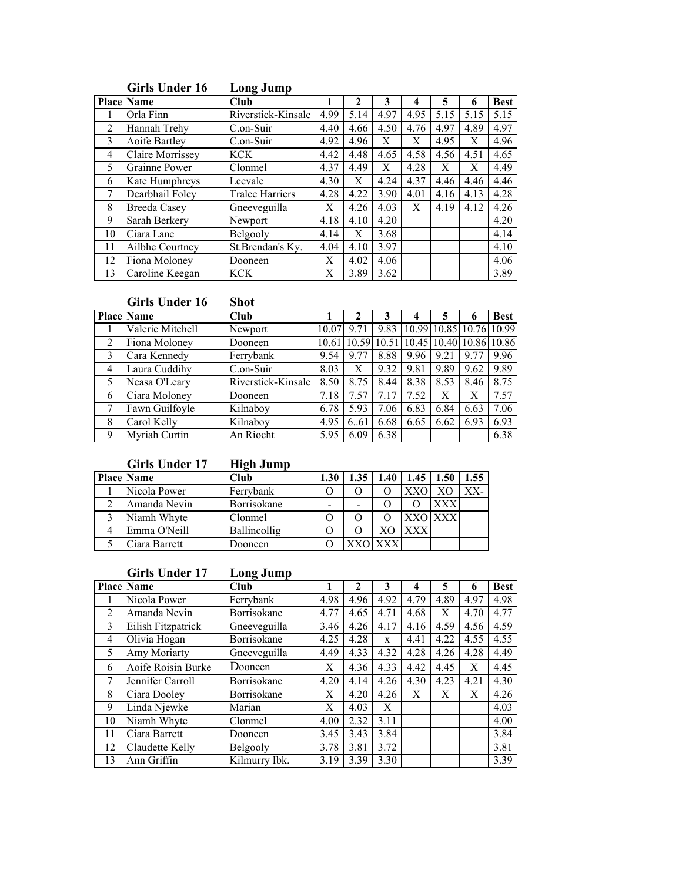|                |                         | www.camp               |      |      |      |      |      |      |             |
|----------------|-------------------------|------------------------|------|------|------|------|------|------|-------------|
|                | <b>Place Name</b>       | Club                   |      | 2    | 3    | 4    | 5    | 6    | <b>Best</b> |
|                | Orla Finn               | Riverstick-Kinsale     | 4.99 | 5.14 | 4.97 | 4.95 | 5.15 | 5.15 | 5.15        |
| $\mathfrak{D}$ | Hannah Trehy            | C.on-Suir              | 4.40 | 4.66 | 4.50 | 4.76 | 4.97 | 4.89 | 4.97        |
| 3              | Aoife Bartley           | C.on-Suir              | 4.92 | 4.96 | X    | Х    | 4.95 | Х    | 4.96        |
| 4              | <b>Claire Morrissey</b> | <b>KCK</b>             | 4.42 | 4.48 | 4.65 | 4.58 | 4.56 | 4.51 | 4.65        |
| 5              | Grainne Power           | Clonmel                | 4.37 | 4.49 | X    | 4.28 | Χ    | X    | 4.49        |
| 6              | Kate Humphreys          | Leevale                | 4.30 | X    | 4.24 | 4.37 | 4.46 | 4.46 | 4.46        |
|                | Dearbhail Foley         | <b>Tralee Harriers</b> | 4.28 | 4.22 | 3.90 | 4.01 | 4.16 | 4.13 | 4.28        |
| 8              | <b>Breeda Casey</b>     | Gneeveguilla           | X    | 4.26 | 4.03 | X    | 4.19 | 4.12 | 4.26        |
| 9              | Sarah Berkery           | Newport                | 4.18 | 4.10 | 4.20 |      |      |      | 4.20        |
| 10             | Ciara Lane              | Belgooly               | 4.14 | Х    | 3.68 |      |      |      | 4.14        |
| 11             | Ailbhe Courtney         | St.Brendan's Ky.       | 4.04 | 4.10 | 3.97 |      |      |      | 4.10        |
| 12             | Fiona Moloney           | Dooneen                | X    | 4.02 | 4.06 |      |      |      | 4.06        |
| 13             | Caroline Keegan         | <b>KCK</b>             | Х    | 3.89 | 3.62 |      |      |      | 3.89        |

# Girls Under 16 Long Jump

## Girls Under 16 Shot

|                | <b>Place Name</b> | Club               |       |                                           |      |      | 5                       |      | <b>Best</b> |
|----------------|-------------------|--------------------|-------|-------------------------------------------|------|------|-------------------------|------|-------------|
|                | Valerie Mitchell  | Newport            | 10.07 | 9.71                                      | 9.83 |      | 10.99 10.85 10.76 10.99 |      |             |
| 2              | Fiona Moloney     | Dooneen            |       | 10.61 10.59 10.51 10.45 10.40 10.86 10.86 |      |      |                         |      |             |
| 3              | Cara Kennedy      | Ferrybank          | 9.54  | 9.77                                      | 8.88 | 9.96 | 9.21                    | 9.77 | 9.96        |
| $\overline{4}$ | Laura Cuddihy     | C.on-Suir          | 8.03  |                                           | 9.32 | 9.81 | 9.89                    | 9.62 | 9.89        |
| 5              | Neasa O'Leary     | Riverstick-Kinsale | 8.50  | 8.75                                      | 8.44 | 8.38 | 8.53                    | 8.46 | 8.75        |
| 6              | Ciara Moloney     | Dooneen            | 7.18  | 7.57                                      | 7.17 | 7.52 | Х                       | Х    | 7.57        |
|                | Fawn Guilfoyle    | Kilnaboy           | 6.78  | 5.93                                      | 7.06 | 6.83 | 6.84                    | 6.63 | 7.06        |
| 8              | Carol Kelly       | Kilnaboy           | 4.95  | 6.61                                      | 6.68 | 6.65 | 6.62                    | 6.93 | 6.93        |
| 9              | Myriah Curtin     | An Riocht          | 5.95  | 6.09                                      | 6.38 |      |                         |      | 6.38        |

# Girls Under 17 High Jump

| <b>Place Name</b> | Club           |   | 1.35 | 1.40 | $1.45 \pm 1.50$ |         | 1.55 |
|-------------------|----------------|---|------|------|-----------------|---------|------|
| Nicola Power      | Ferrybank      |   |      |      |                 |         |      |
| Amanda Nevin      | Borrisokane    | - |      |      |                 |         |      |
| Niamh Whyte       | Clonmel        |   |      |      |                 | XXO XXX |      |
| Emma O'Neill      | Ballincollig   |   |      |      |                 |         |      |
| Ciara Barrett     | <b>Jooneen</b> |   |      |      |                 |         |      |

# Girls Under 17 Long Jump

|                | <b>Place Name</b>  | Club          |      | $\mathbf{2}$ | 3    | 4    | 5    | 6    | <b>Best</b> |
|----------------|--------------------|---------------|------|--------------|------|------|------|------|-------------|
|                | Nicola Power       | Ferrybank     | 4.98 | 4.96         | 4.92 | 4.79 | 4.89 | 4.97 | 4.98        |
| 2              | Amanda Nevin       | Borrisokane   | 4.77 | 4.65         | 4.71 | 4.68 | X    | 4.70 | 4.77        |
| $\mathbf{3}$   | Eilish Fitzpatrick | Gneeveguilla  | 3.46 | 4.26         | 4.17 | 4.16 | 4.59 | 4.56 | 4.59        |
| $\overline{4}$ | Olivia Hogan       | Borrisokane   | 4.25 | 4.28         | X    | 4.41 | 4.22 | 4.55 | 4.55        |
| 5              | Amy Moriarty       | Gneeveguilla  | 4.49 | 4.33         | 4.32 | 4.28 | 4.26 | 4.28 | 4.49        |
| 6              | Aoife Roisin Burke | Dooneen       | X    | 4.36         | 4.33 | 4.42 | 4.45 | X    | 4.45        |
|                | Jennifer Carroll   | Borrisokane   | 4.20 | 4.14         | 4.26 | 4.30 | 4.23 | 4.21 | 4.30        |
| 8              | Ciara Dooley       | Borrisokane   | X    | 4.20         | 4.26 | Х    | X    | X    | 4.26        |
| 9              | Linda Njewke       | Marian        | X    | 4.03         | X    |      |      |      | 4.03        |
| 10             | Niamh Whyte        | Clonmel       | 4.00 | 2.32         | 3.11 |      |      |      | 4.00        |
| 11             | Ciara Barrett      | Dooneen       | 3.45 | 3.43         | 3.84 |      |      |      | 3.84        |
| 12             | Claudette Kelly    | Belgooly      | 3.78 | 3.81         | 3.72 |      |      |      | 3.81        |
| 13             | Ann Griffin        | Kilmurry Ibk. | 3.19 | 3.39         | 3.30 |      |      |      | 3.39        |